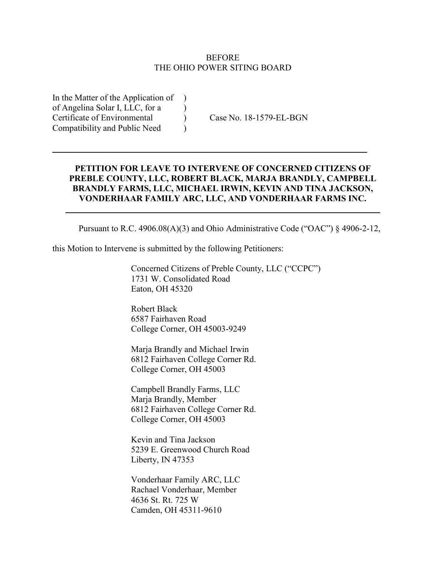#### BEFORE THE OHIO POWER SITING BOARD

In the Matter of the Application of ) of Angelina Solar I, LLC, for a ) Certificate of Environmental ) Case No. 18-1579-EL-BGN Compatibility and Public Need )

### **PETITION FOR LEAVE TO INTERVENE OF CONCERNED CITIZENS OF PREBLE COUNTY, LLC, ROBERT BLACK, MARJA BRANDLY, CAMPBELL BRANDLY FARMS, LLC, MICHAEL IRWIN, KEVIN AND TINA JACKSON, VONDERHAAR FAMILY ARC, LLC, AND VONDERHAAR FARMS INC.**

\_\_\_\_\_\_\_\_\_\_\_\_\_\_\_\_\_\_\_\_\_\_\_\_\_\_\_\_\_\_\_\_\_\_\_\_\_\_\_\_\_\_\_\_\_\_\_\_\_\_\_\_\_\_\_\_\_\_\_\_\_\_\_\_\_\_\_\_\_\_\_\_

 $\mathcal{L}_\text{max} = \mathcal{L}_\text{max} = \mathcal{L}_\text{max} = \mathcal{L}_\text{max} = \mathcal{L}_\text{max} = \mathcal{L}_\text{max} = \mathcal{L}_\text{max} = \mathcal{L}_\text{max} = \mathcal{L}_\text{max} = \mathcal{L}_\text{max} = \mathcal{L}_\text{max} = \mathcal{L}_\text{max} = \mathcal{L}_\text{max} = \mathcal{L}_\text{max} = \mathcal{L}_\text{max} = \mathcal{L}_\text{max} = \mathcal{L}_\text{max} = \mathcal{L}_\text{max} = \mathcal{$ 

Pursuant to R.C. 4906.08(A)(3) and Ohio Administrative Code ("OAC") § 4906-2-12,

this Motion to Intervene is submitted by the following Petitioners:

Concerned Citizens of Preble County, LLC ("CCPC") 1731 W. Consolidated Road Eaton, OH 45320

Robert Black 6587 Fairhaven Road College Corner, OH 45003-9249

Marja Brandly and Michael Irwin 6812 Fairhaven College Corner Rd. College Corner, OH 45003

Campbell Brandly Farms, LLC Marja Brandly, Member 6812 Fairhaven College Corner Rd. College Corner, OH 45003

Kevin and Tina Jackson 5239 E. Greenwood Church Road Liberty, IN 47353

Vonderhaar Family ARC, LLC Rachael Vonderhaar, Member 4636 St. Rt. 725 W Camden, OH 45311-9610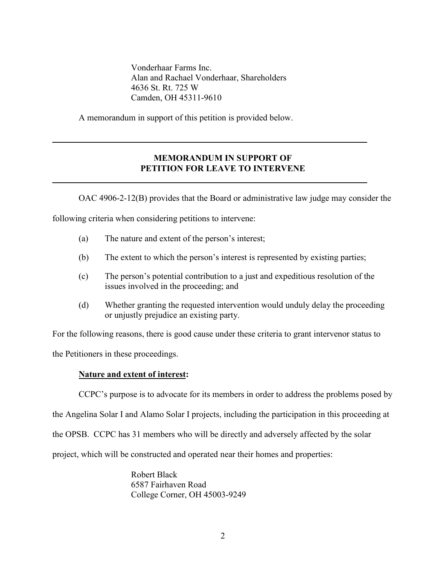Vonderhaar Farms Inc. Alan and Rachael Vonderhaar, Shareholders 4636 St. Rt. 725 W Camden, OH 45311-9610

 $\mathcal{L} = \{ \mathcal{L} \mid \mathcal{L} \in \mathcal{L} \}$ 

**\_\_\_\_\_\_\_\_\_\_\_\_\_\_\_\_\_\_\_\_\_\_\_\_\_\_\_\_\_\_\_\_\_\_\_\_\_\_\_\_\_\_\_\_\_\_\_\_\_\_\_\_\_\_\_\_\_\_\_\_\_\_\_\_\_\_\_\_\_\_\_\_**

A memorandum in support of this petition is provided below.

### **MEMORANDUM IN SUPPORT OF PETITION FOR LEAVE TO INTERVENE**

OAC 4906-2-12(B) provides that the Board or administrative law judge may consider the

following criteria when considering petitions to intervene:

- (a) The nature and extent of the person's interest;
- (b) The extent to which the person's interest is represented by existing parties;
- (c) The person's potential contribution to a just and expeditious resolution of the issues involved in the proceeding; and
- (d) Whether granting the requested intervention would unduly delay the proceeding or unjustly prejudice an existing party.

For the following reasons, there is good cause under these criteria to grant intervenor status to

the Petitioners in these proceedings.

#### **Nature and extent of interest:**

CCPC's purpose is to advocate for its members in order to address the problems posed by

the Angelina Solar I and Alamo Solar I projects, including the participation in this proceeding at

the OPSB. CCPC has 31 members who will be directly and adversely affected by the solar

project, which will be constructed and operated near their homes and properties:

Robert Black 6587 Fairhaven Road College Corner, OH 45003-9249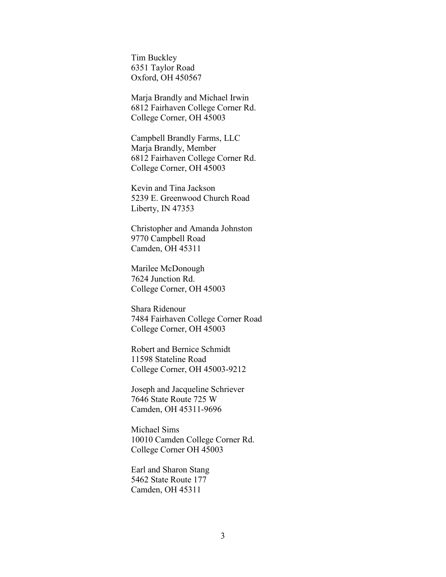Tim Buckley 6351 Taylor Road Oxford, OH 450567

Marja Brandly and Michael Irwin 6812 Fairhaven College Corner Rd. College Corner, OH 45003

Campbell Brandly Farms, LLC Marja Brandly, Member 6812 Fairhaven College Corner Rd. College Corner, OH 45003

Kevin and Tina Jackson 5239 E. Greenwood Church Road Liberty, IN 47353

Christopher and Amanda Johnston 9770 Campbell Road Camden, OH 45311

Marilee McDonough 7624 Junction Rd. College Corner, OH 45003

Shara Ridenour 7484 Fairhaven College Corner Road College Corner, OH 45003

Robert and Bernice Schmidt 11598 Stateline Road College Corner, OH 45003-9212

Joseph and Jacqueline Schriever 7646 State Route 725 W Camden, OH 45311-9696

Michael Sims 10010 Camden College Corner Rd. College Corner OH 45003

Earl and Sharon Stang 5462 State Route 177 Camden, OH 45311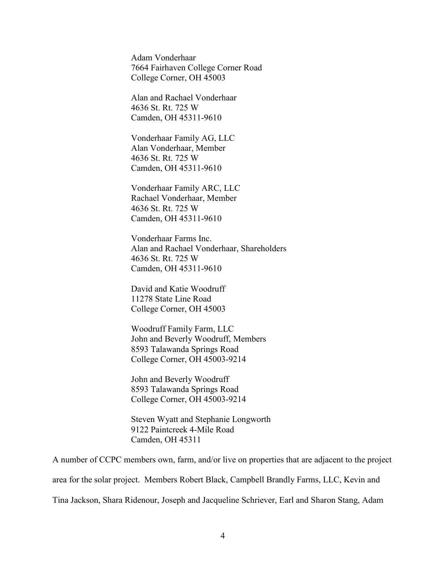Adam Vonderhaar 7664 Fairhaven College Corner Road College Corner, OH 45003

Alan and Rachael Vonderhaar 4636 St. Rt. 725 W Camden, OH 45311-9610

Vonderhaar Family AG, LLC Alan Vonderhaar, Member 4636 St. Rt. 725 W Camden, OH 45311-9610

Vonderhaar Family ARC, LLC Rachael Vonderhaar, Member 4636 St. Rt. 725 W Camden, OH 45311-9610

Vonderhaar Farms Inc. Alan and Rachael Vonderhaar, Shareholders 4636 St. Rt. 725 W Camden, OH 45311-9610

David and Katie Woodruff 11278 State Line Road College Corner, OH 45003

Woodruff Family Farm, LLC John and Beverly Woodruff, Members 8593 Talawanda Springs Road College Corner, OH 45003-9214

John and Beverly Woodruff 8593 Talawanda Springs Road College Corner, OH 45003-9214

Steven Wyatt and Stephanie Longworth 9122 Paintcreek 4-Mile Road Camden, OH 45311

A number of CCPC members own, farm, and/or live on properties that are adjacent to the project area for the solar project. Members Robert Black, Campbell Brandly Farms, LLC, Kevin and Tina Jackson, Shara Ridenour, Joseph and Jacqueline Schriever, Earl and Sharon Stang, Adam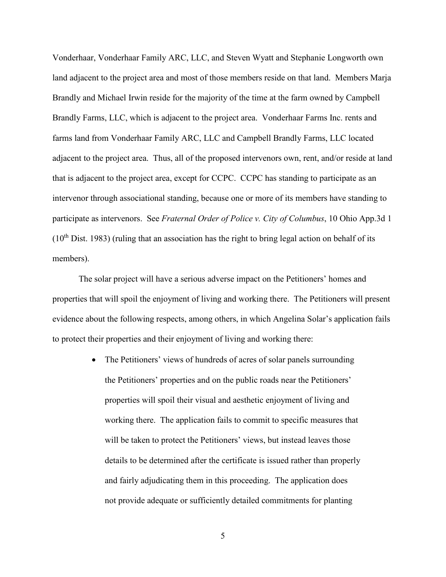Vonderhaar, Vonderhaar Family ARC, LLC, and Steven Wyatt and Stephanie Longworth own land adjacent to the project area and most of those members reside on that land. Members Marja Brandly and Michael Irwin reside for the majority of the time at the farm owned by Campbell Brandly Farms, LLC, which is adjacent to the project area. Vonderhaar Farms Inc. rents and farms land from Vonderhaar Family ARC, LLC and Campbell Brandly Farms, LLC located adjacent to the project area. Thus, all of the proposed intervenors own, rent, and/or reside at land that is adjacent to the project area, except for CCPC. CCPC has standing to participate as an intervenor through associational standing, because one or more of its members have standing to participate as intervenors. See *Fraternal Order of Police v. City of Columbus*, 10 Ohio App.3d 1  $(10<sup>th</sup> Dist. 1983)$  (ruling that an association has the right to bring legal action on behalf of its members).

The solar project will have a serious adverse impact on the Petitioners' homes and properties that will spoil the enjoyment of living and working there. The Petitioners will present evidence about the following respects, among others, in which Angelina Solar's application fails to protect their properties and their enjoyment of living and working there:

> • The Petitioners' views of hundreds of acres of solar panels surrounding the Petitioners' properties and on the public roads near the Petitioners' properties will spoil their visual and aesthetic enjoyment of living and working there. The application fails to commit to specific measures that will be taken to protect the Petitioners' views, but instead leaves those details to be determined after the certificate is issued rather than properly and fairly adjudicating them in this proceeding. The application does not provide adequate or sufficiently detailed commitments for planting

> > 5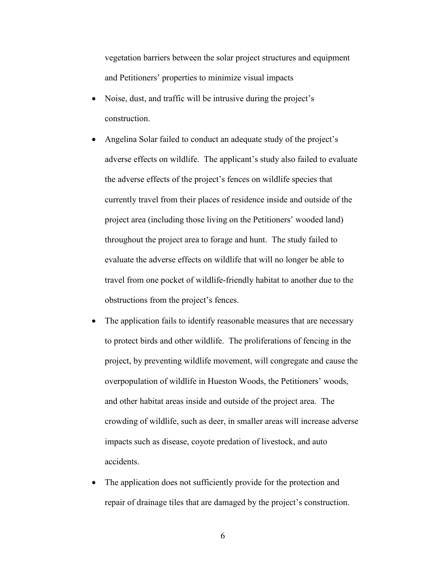vegetation barriers between the solar project structures and equipment and Petitioners' properties to minimize visual impacts

- Noise, dust, and traffic will be intrusive during the project's construction.
- Angelina Solar failed to conduct an adequate study of the project's adverse effects on wildlife. The applicant's study also failed to evaluate the adverse effects of the project's fences on wildlife species that currently travel from their places of residence inside and outside of the project area (including those living on the Petitioners' wooded land) throughout the project area to forage and hunt. The study failed to evaluate the adverse effects on wildlife that will no longer be able to travel from one pocket of wildlife-friendly habitat to another due to the obstructions from the project's fences.
- The application fails to identify reasonable measures that are necessary to protect birds and other wildlife. The proliferations of fencing in the project, by preventing wildlife movement, will congregate and cause the overpopulation of wildlife in Hueston Woods, the Petitioners' woods, and other habitat areas inside and outside of the project area. The crowding of wildlife, such as deer, in smaller areas will increase adverse impacts such as disease, coyote predation of livestock, and auto accidents.
- The application does not sufficiently provide for the protection and repair of drainage tiles that are damaged by the project's construction.

6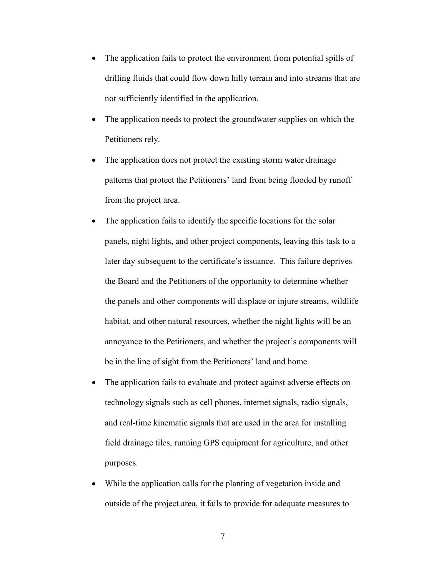- The application fails to protect the environment from potential spills of drilling fluids that could flow down hilly terrain and into streams that are not sufficiently identified in the application.
- The application needs to protect the groundwater supplies on which the Petitioners rely.
- The application does not protect the existing storm water drainage patterns that protect the Petitioners' land from being flooded by runoff from the project area.
- The application fails to identify the specific locations for the solar panels, night lights, and other project components, leaving this task to a later day subsequent to the certificate's issuance. This failure deprives the Board and the Petitioners of the opportunity to determine whether the panels and other components will displace or injure streams, wildlife habitat, and other natural resources, whether the night lights will be an annoyance to the Petitioners, and whether the project's components will be in the line of sight from the Petitioners' land and home.
- The application fails to evaluate and protect against adverse effects on technology signals such as cell phones, internet signals, radio signals, and real-time kinematic signals that are used in the area for installing field drainage tiles, running GPS equipment for agriculture, and other purposes.
- While the application calls for the planting of vegetation inside and outside of the project area, it fails to provide for adequate measures to

7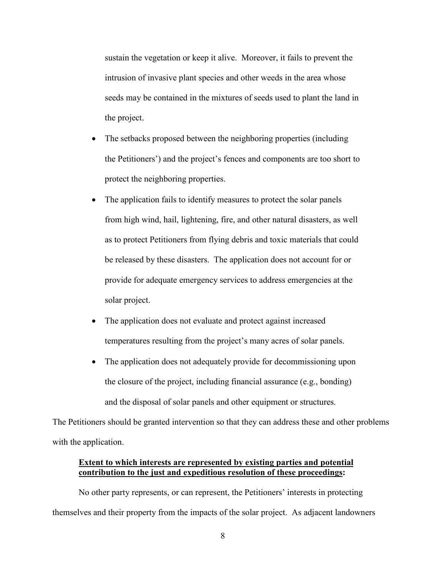sustain the vegetation or keep it alive. Moreover, it fails to prevent the intrusion of invasive plant species and other weeds in the area whose seeds may be contained in the mixtures of seeds used to plant the land in the project.

- The setbacks proposed between the neighboring properties (including the Petitioners') and the project's fences and components are too short to protect the neighboring properties.
- The application fails to identify measures to protect the solar panels from high wind, hail, lightening, fire, and other natural disasters, as well as to protect Petitioners from flying debris and toxic materials that could be released by these disasters. The application does not account for or provide for adequate emergency services to address emergencies at the solar project.
- The application does not evaluate and protect against increased temperatures resulting from the project's many acres of solar panels.
- The application does not adequately provide for decommissioning upon the closure of the project, including financial assurance (e.g., bonding) and the disposal of solar panels and other equipment or structures.

The Petitioners should be granted intervention so that they can address these and other problems with the application.

# **Extent to which interests are represented by existing parties and potential contribution to the just and expeditious resolution of these proceedings:**

No other party represents, or can represent, the Petitioners' interests in protecting themselves and their property from the impacts of the solar project. As adjacent landowners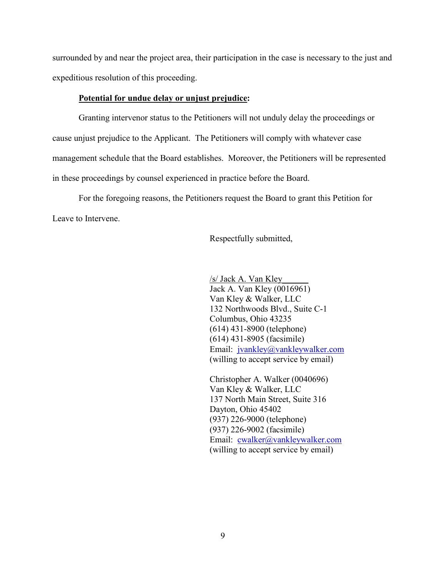surrounded by and near the project area, their participation in the case is necessary to the just and expeditious resolution of this proceeding.

#### **Potential for undue delay or unjust prejudice:**

Granting intervenor status to the Petitioners will not unduly delay the proceedings or cause unjust prejudice to the Applicant. The Petitioners will comply with whatever case management schedule that the Board establishes. Moreover, the Petitioners will be represented in these proceedings by counsel experienced in practice before the Board.

For the foregoing reasons, the Petitioners request the Board to grant this Petition for Leave to Intervene.

Respectfully submitted,

/s/ Jack A. Van Kley\_\_\_\_\_\_ Jack A. Van Kley (0016961) Van Kley & Walker, LLC 132 Northwoods Blvd., Suite C-1 Columbus, Ohio 43235 (614) 431-8900 (telephone) (614) 431-8905 (facsimile) Email: jvankley@vankleywalker.com (willing to accept service by email)

Christopher A. Walker (0040696) Van Kley & Walker, LLC 137 North Main Street, Suite 316 Dayton, Ohio 45402 (937) 226-9000 (telephone) (937) 226-9002 (facsimile) Email: cwalker@vankleywalker.com (willing to accept service by email)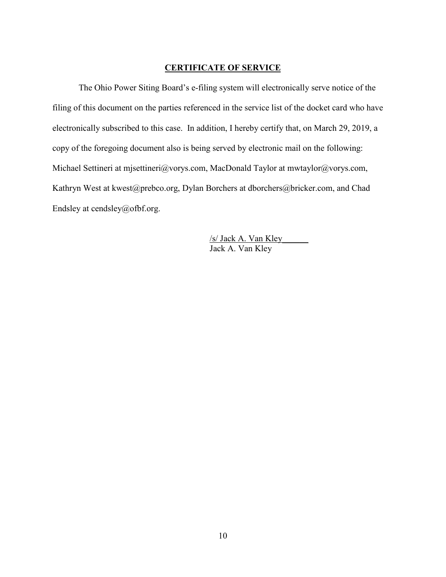#### **CERTIFICATE OF SERVICE**

The Ohio Power Siting Board's e-filing system will electronically serve notice of the filing of this document on the parties referenced in the service list of the docket card who have electronically subscribed to this case. In addition, I hereby certify that, on March 29, 2019, a copy of the foregoing document also is being served by electronic mail on the following: Michael Settineri at mjsettineri@vorys.com, MacDonald Taylor at mwtaylor@vorys.com, Kathryn West at kwest@prebco.org, Dylan Borchers at dborchers@bricker.com, and Chad Endsley at cendsley@ofbf.org.

> /s/ Jack A. Van Kley\_\_\_\_\_\_ Jack A. Van Kley